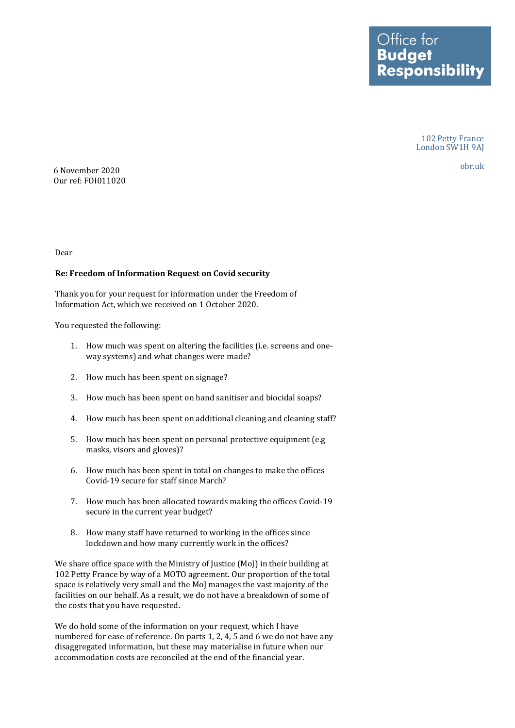Office for **Budget Responsibility** 

> 102 Petty France London SW1H 9AJ

obr.uk 6 November 2020 Our ref: FOI011020

Dear

## **Re: Freedom of Information Request on Covid security**

Thank you for your request for information under the Freedom of Information Act, which we received on 1 October 2020.

You requested the following:

- 1. How much was spent on altering the facilities (i.e. screens and one-way systems) and what changes were made?
- 2. How much has been spent on signage?
- 3. How much has been spent on hand sanitiser and biocidal soaps?
- 4. How much has been spent on additional cleaning and cleaning staff?
- 5. How much has been spent on personal protective equipment (e.g masks, visors and gloves)?
- 6. How much has been spent in total on changes to make the offices Covid-19 secure for staff since March?
- 7. How much has been allocated towards making the offices Covid-19 secure in the current year budget?
- 8. How many staff have returned to working in the offices since lockdown and how many currently work in the offices?

 We share office space with the Ministry of Justice (MoJ) in their building at 102 Petty France by way of a MOTO agreement. Our proportion of the total space is relatively very small and the MoJ manages the vast majority of the facilities on our behalf. As a result, we do not have a breakdown of some of the costs that you have requested.

 We do hold some of the information on your request, which I have numbered for ease of reference. On parts 1, 2, 4, 5 and 6 we do not have any disaggregated information, but these may materialise in future when our accommodation costs are reconciled at the end of the financial year.